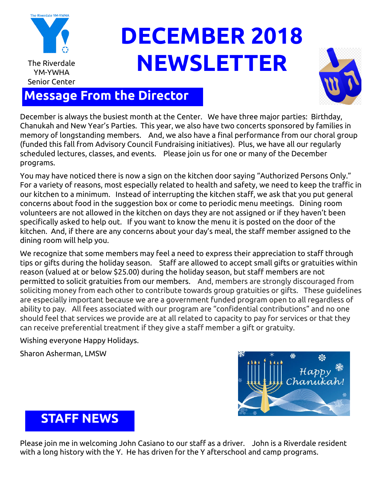

# **DECEMBER 2018** The Riverdale **NEWSLETTER**



### **Message From the Director**

December is always the busiest month at the Center. We have three major parties: Birthday, Chanukah and New Year's Parties. This year, we also have two concerts sponsored by families in memory of longstanding members. And, we also have a final performance from our choral group (funded this fall from Advisory Council Fundraising initiatives). Plus, we have all our regularly scheduled lectures, classes, and events. Please join us for one or many of the December programs.

You may have noticed there is now a sign on the kitchen door saying "Authorized Persons Only." For a variety of reasons, most especially related to health and safety, we need to keep the traffic in our kitchen to a minimum. Instead of interrupting the kitchen staff, we ask that you put general concerns about food in the suggestion box or come to periodic menu meetings. Dining room volunteers are not allowed in the kitchen on days they are not assigned or if they haven't been specifically asked to help out. If you want to know the menu it is posted on the door of the kitchen. And, if there are any concerns about your day's meal, the staff member assigned to the dining room will help you.

We recognize that some members may feel a need to express their appreciation to staff through tips or gifts during the holiday season. Staff are allowed to accept small gifts or gratuities within reason (valued at or below \$25.00) during the holiday season, but staff members are not permitted to solicit gratuities from our members. And, members are strongly discouraged from soliciting money from each other to contribute towards group gratuities or gifts. These guidelines are especially important because we are a government funded program open to all regardless of ability to pay. All fees associated with our program are "confidential contributions" and no one should feel that services we provide are at all related to capacity to pay for services or that they can receive preferential treatment if they give a staff member a gift or gratuity.

Wishing everyone Happy Holidays.

Sharon Asherman, LMSW



### **STAFF NEWS**

Please join me in welcoming John Casiano to our staff as a driver. John is a Riverdale resident with a long history with the Y. He has driven for the Y afterschool and camp programs.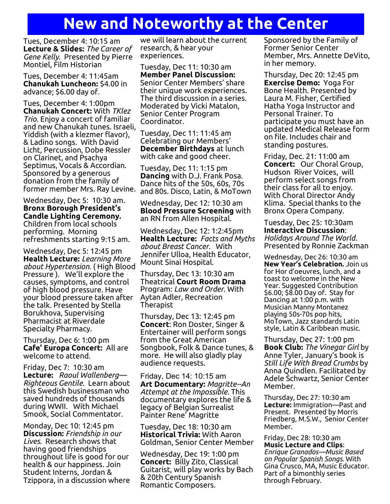## **New and Noteworthy at the Center**

Tues, December 4: 10:15 am **Lecture & Slides:** *The Career of Gene Kelly*. Presented by Pierre Montiel, Film Historian

Tues, December 4: 11:45am **Chanukah Luncheon:** \$4.00 in advance; \$6.00 day of.

Tues, December 4: 1:00pm **Chanukah Concert:** With *TKlez Trio*. Enjoy a concert of familiar and new Chanukah tunes. Israeli, Yiddish (with a klezmer flavor), & Ladino songs. With David Licht, Percussion, Dobe Ressler on Clarinet, and Psachya Septimus, Vocals & Accordian. Sponsored by a generous donation from the family of former member Mrs. Ray Levine.

Wednesday, Dec 5: 10:30 am. **Bronx Borough President's Candle Lighting Ceremony.**  Children from local schools performing. Morning refreshments starting 9:15 am.

Wednesday, Dec 5: 12:45 pm **Health Lecture:** *Learning More about Hypertension*. ( High Blood Pressure ). We'll explore the causes, symptoms, and control of high blood pressure. Have your blood pressure taken after the talk. Presented by Stella Borukhova, Supervising Pharmacist at Riverdale Specialty Pharmacy.

Thursday, Dec 6: 1:00 pm **Cafe' Europa Concert:** All are welcome to attend.

Friday, Dec 7: 10:30 am **Lecture:** *Raoul Wallenberg— Righteous Gentile.* Learn about this Swedish businessman who saved hundreds of thousands during WWII. With Michael Smook, Social Commentator.

Monday, Dec 10: 12:45 pm **Discussion:** *Friendship in our Lives*. Research shows that having good friendships throughout life is good for our health & our happiness. Join Student Interns, Jordan & Tzippora, in a discussion where

we will learn about the current research, & hear your experiences.

Tuesday, Dec 11: 10:30 am **Member Panel Discussion:** Senior Center Members' share their unique work experiences. The third discussion in a series. Moderated by Vicki Matalon, Senior Center Program Coordinator.

Tuesday, Dec 11: 11:45 am Celebrating our Members' **December Birthdays** at lunch with cake and good cheer.

Tuesday, Dec 11: 1:15 pm **Dancing** with D.J. Frank Posa. Dance hits of the 50s, 60s, 70s and 80s. Disco, Latin, & MoTown

Wednesday, Dec 12: 10:30 am **Blood Pressure Screening** with an RN from Allen Hospital.

Wednesday, Dec 12: 1:2:45pm **Health Lecture:** *Facts and Myths about Breast Cancer.* With Jennifer Ulloa, Health Educator, Mount Sinai Hospital.

Thursday, Dec 13: 10:30 am Theatrical **Court Room Drama**  Program: *Law and Order*. With Aytan Adler, Recreation Therapist

Thursday, Dec 13: 12:45 pm **Concert**: Ron Doster, Singer & Entertainer will perform songs from the Great American Songbook, Folk & Dance tunes, & more. He will also gladly play audience requests.

Friday, Dec 14: 10:15 am **Art Documentary:** *Magritte--An Attempt at the Impossible*. This documentary explores the life & legacy of Belgian Surrealist Painter Rene' Magritte

Tuesday, Dec 18: 10:30 am **Historical Trivia:** With Aaron Goldman, Senior Center Member

Wednesday, Dec 19: 1:00 pm **Concert:** Billy Zito, Classical Guitarist, will play works by Bach & 20th Century Spanish Romantic Composers.

Sponsored by the Family of Former Senior Center Member, Mrs. Annette DeVito, in her memory.

Thursday, Dec 20: 12:45 pm **Exercise Demo:** Yoga For Bone Health. Presented by Laura M. Fisher, Certified Hatha Yoga Instructor and Personal Trainer. To participate you must have an updated Medical Release form on file. Includes chair and standing postures.

Friday, Dec. 21: 11:00 am **Concert:** Our Choral Group, Hudson River Voices, will perform select songs from their class for all to enjoy. With Choral Director Andy Klima. Special thanks to the Bronx Opera Company.

Tuesday, Dec 25: 10:30am **Interactive Discussion**: *Holidays Around The World*. Presented by Ronnie Zackman

Wednesday, Dec 26: 10:30 am **New Year's Celebration.** Join us for Hor d'oeuvres, lunch, and a toast to welcome in the New Year. Suggested Contribution \$6.00; \$8.00 Day of. Stay for Dancing at 1:00 p.m. with Musician Manny Montanez playing 50s-70s pop hits, MoTown, Jazz standards Latin style, Latin & Caribbean music.

Thursday, Dec 27: 1:00 pm **Book Club:** *The Vinegar Girl* by Anne Tyler, January's book is *Still Life With Bread Crumbs* by Anna Quindlen. Facilitated by Adele Schwartz, Senior Center Member.

Thursday, Dec 27: 10:30 am **Lecture:** Immigration—Past and Present. Presented by Morris Friedberg, M.S.W., Senior Center Member.

Friday, Dec 28: 10:30 am **Music Lecture and Clips**: *Enrique Granados—Music Based on Popular Spanish Songs.* With Gina Crusco, MA, Music Educator. Part of a bimonthly series through February.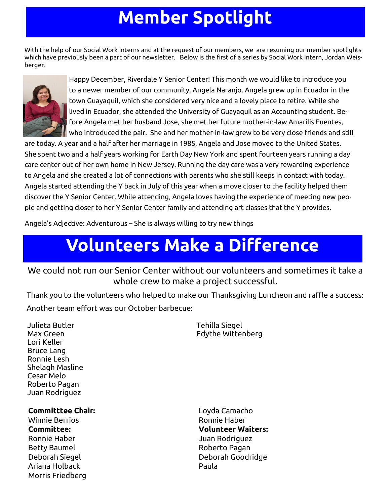## **Member Spotlight**

With the help of our Social Work Interns and at the request of our members, we are resuming our member spotlights which have previously been a part of our newsletter. Below is the first of a series by Social Work Intern, Jordan Weisberger.



Happy December, Riverdale Y Senior Center! This month we would like to introduce you to a newer member of our community, Angela Naranjo. Angela grew up in Ecuador in the town Guayaquil, which she considered very nice and a lovely place to retire. While she lived in Ecuador, she attended the University of Guayaquil as an Accounting student. Before Angela met her husband Jose, she met her future mother-in-law Amarilis Fuentes, who introduced the pair. She and her mother-in-law grew to be very close friends and still

are today. A year and a half after her marriage in 1985, Angela and Jose moved to the United States. She spent two and a half years working for Earth Day New York and spent fourteen years running a day care center out of her own home in New Jersey. Running the day care was a very rewarding experience to Angela and she created a lot of connections with parents who she still keeps in contact with today. Angela started attending the Y back in July of this year when a move closer to the facility helped them discover the Y Senior Center. While attending, Angela loves having the experience of meeting new people and getting closer to her Y Senior Center family and attending art classes that the Y provides.

Angela's Adjective: Adventurous – She is always willing to try new things

## **Volunteers Make a Difference**

#### We could not run our Senior Center without our volunteers and sometimes it take a whole crew to make a project successful.

Thank you to the volunteers who helped to make our Thanksgiving Luncheon and raffle a success: Another team effort was our October barbecue:

Julieta Butler Max Green Lori Keller Bruce Lang Ronnie Lesh Shelagh Masline Cesar Melo Roberto Pagan Juan Rodriguez

Tehilla Siegel Edythe Wittenberg

**Committtee Chair:**

Winnie Berrios **Committee:**  Ronnie Haber Betty Baumel Deborah Siegel Ariana Holback Morris Friedberg Loyda Camacho Ronnie Haber **Volunteer Waiters:** Juan Rodriguez Roberto Pagan Deborah Goodridge Paula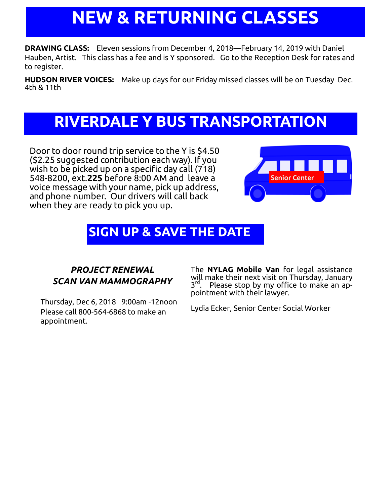## **NEW & RETURNING CLASSES**

**DRAWING CLASS:** Eleven sessions from December 4, 2018—February 14, 2019 with Daniel Hauben, Artist. This class has a fee and is Y sponsored. Go to the Reception Desk for rates and to register.

**HUDSON RIVER VOICES:** Make up days for our Friday missed classes will be on Tuesday Dec. 4th & 11th

## **RIVERDALE Y BUS TRANSPORTATION**

Door to door round trip service to the Y is \$4.50 (\$2.25 suggested contribution each way). If you wish to be picked up on a specific day call (718) 548-8200, ext.**225** before 8:00 AM and leave a voice message with your name, pick up address, and phone number. Our drivers will call back when they are ready to pick you up.



### **SIGN UP & SAVE THE DATE**

### *PROJECT RENEWAL SCAN VAN MAMMOGRAPHY*

Thursday, Dec 6, 2018 9:00am -12noon Please call 800-564-6868 to make an appointment.

The **NYLAG Mobile Van** for legal assistance will make their next visit on Thursday, January 3<sup>rd</sup>. Please stop by my office to make an appointment with their lawyer.

Lydia Ecker, Senior Center Social Worker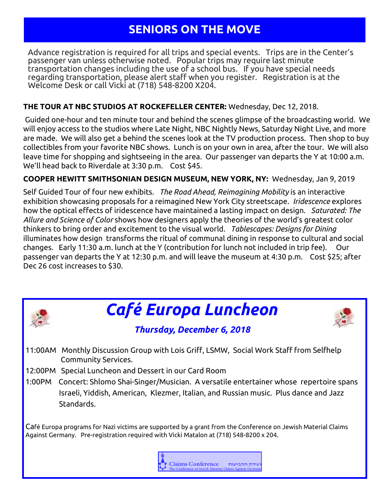### **SENIORS ON THE MOVE**

Advance registration is required for all trips and special events. Trips are in the Center's passenger van unless otherwise noted. Popular trips may require last minute transportation changes including the use of a school bus. If you have special needs regarding transportation, please alert staff when you register. Registration is at the Welcome Desk or call Vicki at (718) 548-8200 X204.

#### **THE TOUR AT NBC STUDIOS AT ROCKEFELLER CENTER:** Wednesday, Dec 12, 2018.

Guided one-hour and ten minute tour and behind the scenes glimpse of the broadcasting world. We will enjoy access to the studios where Late Night, NBC Nightly News, Saturday Night Live, and more are made. We will also get a behind the scenes look at the TV production process. Then shop to buy collectibles from your favorite NBC shows. Lunch is on your own in area, after the tour. We will also leave time for shopping and sightseeing in the area. Our passenger van departs the Y at 10:00 a.m. We'll head back to Riverdale at 3:30 p.m. Cost \$45.

#### **COOPER HEWITT SMITHSONIAN DESIGN MUSEUM, NEW YORK, NY:** Wednesday, Jan 9, 2019

Self Guided Tour of four new exhibits. *The Road Ahead, Reimagining Mobility* is an interactive exhibition showcasing proposals for a reimagined New York City streetscape. *Iridescence* explores how the optical effects of iridescence have maintained a lasting impact on design. *Saturated: The Allure and Science of Color* shows how designers apply the theories of the world's greatest color thinkers to bring order and excitement to the visual world. *Tablescapes: Designs for Dining* illuminates how design transforms the ritual of communal dining in response to cultural and social changes. Early 11:30 a.m. lunch at the Y (contribution for lunch not included in trip fee). Our passenger van departs the Y at 12:30 p.m. and will leave the museum at 4:30 p.m. Cost \$25; after Dec 26 cost increases to \$30.



## *Café Europa Luncheon*



### *Thursday, December 6, 2018*

11:00AM Monthly Discussion Group with Lois Griff, LSMW, Social Work Staff from Selfhelp Community Services.

12:00PM Special Luncheon and Dessert in our Card Room

1:00PM Concert: Shlomo Shai-Singer/Musician. A versatile entertainer whose repertoire spans Israeli, Yiddish, American, Klezmer, Italian, and Russian music. Plus dance and Jazz Standards.

Café Europa programs for Nazi victims are supported by a grant from the Conference on Jewish Material Claims Against Germany. Pre-registration required with Vicki Matalon at (718) 548-8200 x 204.

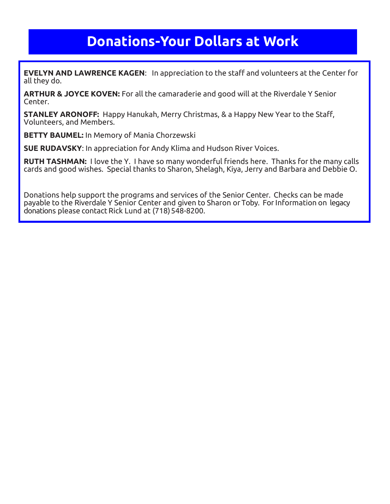### **Donations-Your Dollars at Work**

**EVELYN AND LAWRENCE KAGEN**: In appreciation to the staff and volunteers at the Center for all they do.

**ARTHUR & JOYCE KOVEN:** For all the camaraderie and good will at the Riverdale Y Senior Center.

**STANLEY ARONOFF:** Happy Hanukah, Merry Christmas, & a Happy New Year to the Staff, Volunteers, and Members.

**BETTY BAUMEL:** In Memory of Mania Chorzewski

**SUE RUDAVSKY**: In appreciation for Andy Klima and Hudson River Voices.

**RUTH TASHMAN:** I love the Y. I have so many wonderful friends here. Thanks for the many calls cards and good wishes. Special thanks to Sharon, Shelagh, Kiya, Jerry and Barbara and Debbie O.

Donations help support the programs and services of the Senior Center. Checks can be made payable to the Riverdale Y Senior Center and given to Sharon or Toby. ForInformation on legacy donations please contact Rick Lund at (718) 548-8200.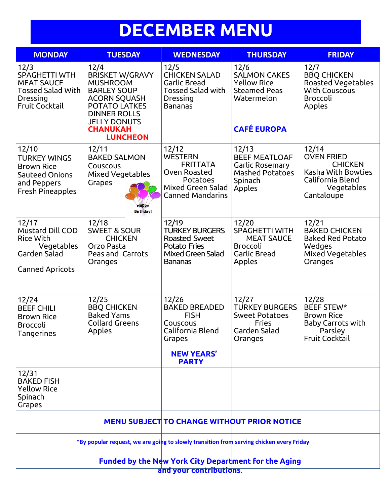## **DECEMBER MENU**

| <b>MONDAY</b>                                                                                                      | <b>TUESDAY</b>                                                                                                                                                                                             | <b>WEDNESDAY</b>                                                                                                            | <b>THURSDAY</b>                                                                                              | <b>FRIDAY</b>                                                                                                      |  |
|--------------------------------------------------------------------------------------------------------------------|------------------------------------------------------------------------------------------------------------------------------------------------------------------------------------------------------------|-----------------------------------------------------------------------------------------------------------------------------|--------------------------------------------------------------------------------------------------------------|--------------------------------------------------------------------------------------------------------------------|--|
| 12/3<br><b>SPAGHETTI WTH</b><br><b>MEAT SAUCE</b><br><b>Tossed Salad With</b><br>Dressing<br><b>Fruit Cocktail</b> | 12/4<br><b>BRISKET W/GRAVY</b><br><b>MUSHROOM</b><br><b>BARLEY SOUP</b><br><b>ACORN SQUASH</b><br><b>POTATO LATKES</b><br><b>DINNER ROLLS</b><br><b>JELLY DONUTS</b><br><b>CHANUKAH</b><br><b>LUNCHEON</b> | 12/5<br><b>CHICKEN SALAD</b><br>Garlic Bread<br>Tossed Salad with<br>Dressing<br>Bananas                                    | 12/6<br><b>SALMON CAKES</b><br><b>Yellow Rice</b><br><b>Steamed Peas</b><br>Watermelon<br><b>CAFÉ EUROPA</b> | 12/7<br><b>BBQ CHICKEN</b><br><b>Roasted Vegetables</b><br><b>With Couscous</b><br><b>Broccoli</b><br>Apples       |  |
| 12/10<br><b>TURKEY WINGS</b><br><b>Brown Rice</b><br>Sauteed Onions<br>and Peppers<br><b>Fresh Pineapples</b>      | 12/11<br><b>BAKED SALMON</b><br>Couscous<br>Mixed Vegetables<br>Grapes<br><b>Birthday!</b>                                                                                                                 | 12/12<br><b>WESTERN</b><br><b>FRITTATA</b><br>Oven Roasted<br>Potatoes<br>Mixed Green Salad<br><b>Canned Mandarins</b>      | 12/13<br><b>BEEF MEATLOAF</b><br>Garlic Rosemary<br><b>Mashed Potatoes</b><br>Spinach<br>Apples              | 12/14<br><b>OVEN FRIED</b><br><b>CHICKEN</b><br>Kasha With Bowties<br>California Blend<br>Vegetables<br>Cantaloupe |  |
| 12/17<br>Mustard Dill COD<br><b>Rice With</b><br>Vegetables<br>Garden Salad<br><b>Canned Apricots</b>              | 12/18<br><b>SWEET &amp; SOUR</b><br><b>CHICKEN</b><br>Orzo Pasta<br>Peas and Carrots<br>Oranges                                                                                                            | 12/19<br><b>TURKEY BURGERS</b><br><b>Roasted Sweet</b><br>Potato Fries<br>Mixed Green Salad<br>Bananas                      | 12/20<br>SPAGHETTI WITH<br><b>MEAT SAUCE</b><br><b>Broccoli</b><br><b>Garlic Bread</b><br>Apples             | 12/21<br><b>BAKED CHICKEN</b><br><b>Baked Red Potato</b><br>Wedges<br><b>Mixed Vegetables</b><br>Oranges           |  |
| 12/24<br><b>BEEF CHILI</b><br><b>Brown Rice</b><br><b>Broccoli</b><br>Tangerines                                   | 12/25<br><b>BBQ CHICKEN</b><br><b>Baked Yams</b><br><b>Collard Greens</b><br>Apples                                                                                                                        | 12/26<br><b>BAKED BREADED</b><br><b>FISH</b><br>Couscous<br>California Blend<br>Grapes<br><b>NEW YEARS'</b><br><b>PARTY</b> | 12/27<br><b>TURKEY BURGERS</b><br><b>Sweet Potatoes</b><br><b>Fries</b><br>Garden Salad<br>Oranges           | 12/28<br><b>BEEF STEW*</b><br><b>Brown Rice</b><br><b>Baby Carrots with</b><br>Parsley<br><b>Fruit Cocktail</b>    |  |
| 12/31<br><b>BAKED FISH</b><br><b>Yellow Rice</b><br>Spinach<br>Grapes                                              |                                                                                                                                                                                                            |                                                                                                                             |                                                                                                              |                                                                                                                    |  |
|                                                                                                                    |                                                                                                                                                                                                            |                                                                                                                             | <b>MENU SUBJECT TO CHANGE WITHOUT PRIOR NOTICE</b>                                                           |                                                                                                                    |  |
|                                                                                                                    | *By popular request, we are going to slowly transition from serving chicken every Friday                                                                                                                   |                                                                                                                             |                                                                                                              |                                                                                                                    |  |
| <b>Funded by the New York City Department for the Aging</b><br>and your contributions.                             |                                                                                                                                                                                                            |                                                                                                                             |                                                                                                              |                                                                                                                    |  |